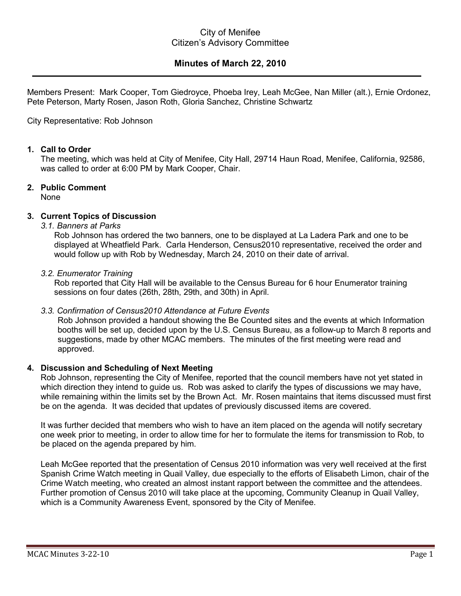# City of Menifee Citizen's Advisory Committee

# **Minutes of March 22, 2010**

Members Present: Mark Cooper, Tom Giedroyce, Phoeba Irey, Leah McGee, Nan Miller (alt.), Ernie Ordonez, Pete Peterson, Marty Rosen, Jason Roth, Gloria Sanchez, Christine Schwartz

#### City Representative: Rob Johnson

#### **1. Call to Order**

The meeting, which was held at City of Menifee, City Hall, 29714 Haun Road, Menifee, California, 92586, was called to order at 6:00 PM by Mark Cooper, Chair.

## **2. Public Comment**

None

## **3. Current Topics of Discussion**

## *3.1. Banners at Parks*

Rob Johnson has ordered the two banners, one to be displayed at La Ladera Park and one to be displayed at Wheatfield Park. Carla Henderson, Census2010 representative, received the order and would follow up with Rob by Wednesday, March 24, 2010 on their date of arrival.

#### *3.2. Enumerator Training*

Rob reported that City Hall will be available to the Census Bureau for 6 hour Enumerator training sessions on four dates (26th, 28th, 29th, and 30th) in April.

## *3.3. Confirmation of Census2010 Attendance at Future Events*

Rob Johnson provided a handout showing the Be Counted sites and the events at which Information booths will be set up, decided upon by the U.S. Census Bureau, as a follow-up to March 8 reports and suggestions, made by other MCAC members. The minutes of the first meeting were read and approved.

## **4. Discussion and Scheduling of Next Meeting**

Rob Johnson, representing the City of Menifee, reported that the council members have not yet stated in which direction they intend to guide us. Rob was asked to clarify the types of discussions we may have, while remaining within the limits set by the Brown Act. Mr. Rosen maintains that items discussed must first be on the agenda. It was decided that updates of previously discussed items are covered.

It was further decided that members who wish to have an item placed on the agenda will notify secretary one week prior to meeting, in order to allow time for her to formulate the items for transmission to Rob, to be placed on the agenda prepared by him.

Leah McGee reported that the presentation of Census 2010 information was very well received at the first Spanish Crime Watch meeting in Quail Valley, due especially to the efforts of Elisabeth Limon, chair of the Crime Watch meeting, who created an almost instant rapport between the committee and the attendees. Further promotion of Census 2010 will take place at the upcoming, Community Cleanup in Quail Valley, which is a Community Awareness Event, sponsored by the City of Menifee.